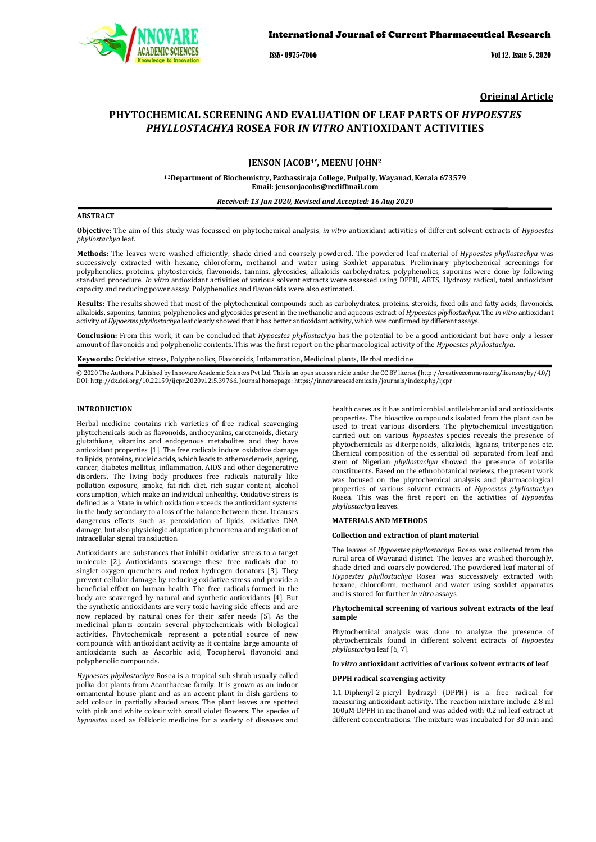

ISSN- 0975-7066 Vol 12, Issue 5, 2020

**Original Article**

# **PHYTOCHEMICAL SCREENING AND EVALUATION OF LEAF PARTS OF** *HYPOESTES PHYLLOSTACHYA* **ROSEA FOR** *IN VITRO* **ANTIOXIDANT ACTIVITIES**

### **JENSON JACOB1\*, MEENU JOHN2**

**1,2Department of Biochemistry, Pazhassiraja College, Pulpally, Wayanad, Kerala 673579 Email: jensonjacobs@rediffmail.com**

*Received: 13 Jun 2020, Revised and Accepted: 16 Aug 2020*

#### **ABSTRACT**

**Objective:** The aim of this study was focussed on phytochemical analysis, *in vitro* antioxidant activities of different solvent extracts of *Hypoestes phyllostachya* leaf.

**Methods:** The leaves were washed efficiently, shade dried and coarsely powdered. The powdered leaf material of *Hypoestes phyllostachya* was successively extracted with hexane, chloroform, methanol and water using Soxhlet apparatus. Preliminary phytochemical screenings for polyphenolics, proteins, phytosteroids, flavonoids, tannins, glycosides, alkaloids carbohydrates, polyphenolics, saponins were done by following standard procedure. *In vitro* antioxidant activities of various solvent extracts were assessed using DPPH, ABTS, Hydroxy radical, total antioxidant capacity and reducing power assay. Polyphenolics and flavonoids were also estimated.

**Results:** The results showed that most of the phytochemical compounds such as carbohydrates, proteins, steroids, fixed oils and fatty acids, flavonoids, alkaloids, saponins, tannins, polyphenolics and glycosides present in the methanolic and aqueous extract of *Hypoestes phyllostachya*. The *in vitro* antioxidant activity of *Hypoestes phyllostachya* leaf clearly showed that it has better antioxidant activity, which was confirmed by different assays.

**Conclusion:** From this work, it can be concluded that *Hypoestes phyllostachya* has the potential to be a good antioxidant but have only a lesser amount of flavonoids and polyphenolic contents. This was the first report on the pharmacological activity of the *Hypoestes phyllostachya*.

**Keywords:** Oxidative stress, Polyphenolics, Flavonoids, Inflammation, Medicinal plants, Herbal medicine

© 2020 The Authors. Published by Innovare Academic Sciences Pvt Ltd. This is an open access article under the CC BY license (http://creativecommons.org/licenses/by/4.0/) DOI: http://dx.doi.org/10.22159/ijcpr.2020v12i5.39766. Journal homepage: https://innovareacademics.in/journals/index.php/ijcpr

#### **INTRODUCTION**

Herbal medicine contains rich varieties of free radical scavenging phytochemicals such as flavonoids, anthocyanins, carotenoids, dietary glutathione, vitamins and endogenous metabolites and they have antioxidant properties [1]. The free radicals induce oxidative damage to lipids, proteins, nucleic acids, which leads to atherosclerosis, ageing, cancer, diabetes mellitus, inflammation, AIDS and other degenerative disorders. The living body produces free radicals naturally like pollution exposure, smoke, fat-rich diet, rich sugar content, alcohol consumption, which make an individual unhealthy. Oxidative stress is defined as a "state in which oxidation exceeds the antioxidant systems in the body secondary to a loss of the balance between them. It causes dangerous effects such as peroxidation of lipids, oxidative DNA damage, but also physiologic adaptation phenomena and regulation of intracellular signal transduction.

Antioxidants are substances that inhibit oxidative stress to a target molecule [2]. Antioxidants scavenge these free radicals due to singlet oxygen quenchers and redox hydrogen donators [3]. They prevent cellular damage by reducing oxidative stress and provide a beneficial effect on human health. The free radicals formed in the body are scavenged by natural and synthetic antioxidants [4]. But the synthetic antioxidants are very toxic having side effects and are now replaced by natural ones for their safer needs [5]. As the medicinal plants contain several phytochemicals with biological activities. Phytochemicals represent a potential source of new compounds with antioxidant activity as it contains large amounts of antioxidants such as Ascorbic acid, Tocopherol, flavonoid and polyphenolic compounds.

*Hypoestes phyllostachya* Rosea is a tropical sub shrub usually called polka dot plants from Acanthaceae family. It is grown as an indoor ornamental house plant and as an accent plant in dish gardens to add colour in partially shaded areas. The plant leaves are spotted with pink and white colour with small violet flowers. The species of *hypoestes* used as folkloric medicine for a variety of diseases and

[health cares as it](https://innovareacademics.in/journals/index.php/ijcpr) has antimicrobial antileishmanial and antioxidants properties. The bioactive compounds isolated from the plant can be used to treat various disorders. The phytochemical investigation carried out on various *hypoestes* species reveals the presence of phytochemicals as diterpenoids, alkaloids, lignans, triterpenes etc. Chemical composition of the essential oil separated from leaf and stem of Nigerian *phyllostachya* showed the presence of volatile constituents. Based on the ethnobotanical reviews, the present work was focused on the phytochemical analysis and pharmacological properties of various solvent extracts of *Hypoestes phyllostachya* Rosea. This was the first report on the activities of *Hypoestes phyllostachya* leaves.

#### **MATERIALS AND METHODS**

#### **Collection and extraction of plant material**

The leaves of *Hypoestes phyllostachya* Rosea was collected from the rural area of Wayanad district. The leaves are washed thoroughly, shade dried and coarsely powdered. The powdered leaf material of *Hypoestes phyllostachya* Rosea was successively extracted with hexane, chloroform, methanol and water using soxhlet apparatus and is stored for further *in vitro* assays.

### **Phytochemical screening of various solvent extracts of the leaf sample**

Phytochemical analysis was done to analyze the presence of phytochemicals found in different solvent extracts of *Hypoestes phyllostachya* leaf [6, 7].

## *In vitro* **antioxidant activities of various solvent extracts of leaf**

#### **DPPH radical scavenging activity**

1,1-Diphenyl-2-picryl hydrazyl (DPPH) is a free radical for measuring antioxidant activity. The reaction mixture include 2.8 ml 100µM DPPH in methanol and was added with 0.2 ml leaf extract at different concentrations. The mixture was incubated for 30 min and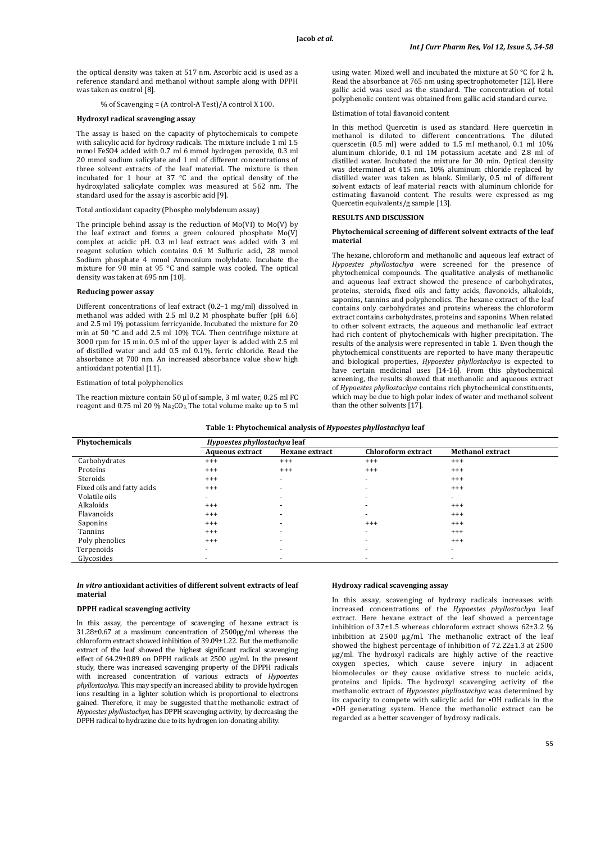the optical density was taken at 517 nm. Ascorbic acid is used as a reference standard and methanol without sample along with DPPH was taken as control [8].

% of Scavenging = (A control-A Test)/A control X 100.

#### **Hydroxyl radical scavenging assay**

The assay is based on the capacity of phytochemicals to compete with salicylic acid for hydroxy radicals. The mixture include 1 ml 1.5 mmol FeSO4 added with 0.7 ml 6 mmol hydrogen peroxide, 0.3 ml 20 mmol sodium salicylate and 1 ml of different concentrations of three solvent extracts of the leaf material. The mixture is then incubated for 1 hour at 37 °C and the optical density of the hydroxylated salicylate complex was measured at 562 nm. The standard used for the assay is ascorbic acid [9].

#### Total antioxidant capacity (Phospho molybdenum assay)

The principle behind assay is the reduction of Mo(VI) to Mo(V) by the leaf extract and forms a green coloured phosphate Mo(V) complex at acidic pH. 0.3 ml leaf extract was added with 3 ml reagent solution which contains 0.6 M Sulfuric acid, 28 mmol Sodium phosphate 4 mmol Ammonium molybdate. Incubate the mixture for 90 min at 95 °C and sample was cooled. The optical density was taken at 695 nm [10].

#### **Reducing power assay**

Different concentrations of leaf extract (0.2–1 mg/ml) dissolved in methanol was added with 2.5 ml 0.2 M phosphate buffer (pH 6.6) and 2.5 ml 1% potassium ferricyanide. Incubated the mixture for 20 min at 50 °C and add 2.5 ml 10% TCA. Then centrifuge mixture at 3000 rpm for 15 min. 0.5 ml of the upper layer is added with 2.5 ml of distilled water and add 0.5 ml 0.1%. ferric chloride. Read the absorbance at 700 nm. An increased absorbance value show high antioxidant potential [11].

#### Estimation of total polyphenolics

The reaction mixture contain 50 μl of sample, 3 ml water, 0.25 ml FC reagent and 0.75 ml 20 % Na<sub>2</sub>CO<sub>3</sub>. The total volume make up to 5 ml using water. Mixed well and incubated the mixture at 50 °C for 2 h. Read the absorbance at 765 nm using spectrophotometer [12]. Here gallic acid was used as the standard. The concentration of total polyphenolic content was obtained from gallic acid standard curve.

#### Estimation of total flavanoid content

In this method Quercetin is used as standard. Here quercetin in methanol is diluted to different concentrations. The diluted querscetin (0.5 ml) were added to 1.5 ml methanol, 0.1 ml 10% aluminum chloride, 0.1 ml 1M potassium acetate and 2.8 ml of distilled water. Incubated the mixture for 30 min. Optical density was determined at 415 nm. 10% aluminum chloride replaced by distilled water was taken as blank. Similarly, 0.5 ml of different solvent extacts of leaf material reacts with aluminum chloride for estimating flavanoid content. The results were expressed as mg Quercetin equivalents/g sample [13].

### **RESULTS AND DISCUSSION**

### **Phytochemical screening of different solvent extracts of the leaf material**

The hexane, chloroform and methanolic and aqueous leaf extract of *Hypoestes phyllostachya* were screened for the presence of phytochemical compounds. The qualitative analysis of methanolic and aqueous leaf extract showed the presence of carbohydrates, proteins, steroids, fixed oils and fatty acids, flavonoids, alkaloids, saponins, tannins and polyphenolics. The hexane extract of the leaf contains only carbohydrates and proteins whereas the chloroform extract contains carbohydrates, proteins and saponins. When related to other solvent extracts, the aqueous and methanolic leaf extract had rich content of phytochemicals with higher precipitation. The results of the analysis were represented in table 1. Even though the phytochemical constituents are reported to have many therapeutic and biological properties, *Hypoestes phyllostachya* is expected to have certain medicinal uses [14-16]. From this phytochemical screening, the results showed that methanolic and aqueous extract of *Hypoestes phyllostachya* contains rich phytochemical constituents, which may be due to high polar index of water and methanol solvent than the other solvents [17].

|  |  | Table 1: Phytochemical analysis of Hypoestes phyllostachya leaf |  |
|--|--|-----------------------------------------------------------------|--|
|  |  |                                                                 |  |

| Phytochemicals             | Hypoestes phyllostachya leaf |                          |                           |                          |  |  |
|----------------------------|------------------------------|--------------------------|---------------------------|--------------------------|--|--|
|                            | <b>Aqueous extract</b>       | <b>Hexane extract</b>    | <b>Chloroform extract</b> | <b>Methanol extract</b>  |  |  |
| Carbohydrates              | $^{+++}$                     | $^{+++}$                 | $^{+++}$                  | $^{+++}$                 |  |  |
| Proteins                   | $+++$                        | $^{+++}$                 | $^{+++}$                  | $^{+++}$                 |  |  |
| Steroids                   | $+++$                        | ۰                        | ۰                         | $^{+++}$                 |  |  |
| Fixed oils and fatty acids | $^{+++}$                     | $\overline{\phantom{0}}$ | $\overline{\phantom{a}}$  | $^{+++}$                 |  |  |
| Volatile oils              | $\sim$                       | $\overline{\phantom{0}}$ | $\overline{a}$            | $\overline{\phantom{0}}$ |  |  |
| Alkaloids                  | $+++$                        | $\overline{\phantom{0}}$ | $\overline{a}$            | $^{+++}$                 |  |  |
| Flavanoids                 | $+++$                        | $\overline{\phantom{a}}$ | $\overline{\phantom{a}}$  | $^{+++}$                 |  |  |
| Saponins                   | $+++$                        | $\overline{\phantom{0}}$ | $^{+++}$                  | $^{+++}$                 |  |  |
| Tannins                    | $^{+++}$                     | $\overline{\phantom{0}}$ | $\overline{\phantom{0}}$  | $+++$                    |  |  |
| Poly phenolics             | $^{+++}$                     | $\overline{\phantom{0}}$ | $\overline{\phantom{0}}$  | $^{+++}$                 |  |  |
| Terpenoids                 | ۰                            | ۰                        | $\overline{\phantom{0}}$  | ۰                        |  |  |
| Glycosides                 |                              | $\overline{\phantom{0}}$ | $\overline{\phantom{a}}$  | -                        |  |  |

### *In vitro* **antioxidant activities of different solvent extracts of leaf material**

### **DPPH radical scavenging activity**

In this assay, the percentage of scavenging of hexane extract is 31.28±0.67 at a maximum concentration of 2500μg/ml whereas the chloroform extract showed inhibition of 39.09±1.22. But the methanolic extract of the leaf showed the highest significant radical scavenging effect of 64.29±0.89 on DPPH radicals at 2500 μg/ml. In the present study, there was increased scavenging property of the DPPH radicals with increased concentration of various extracts of *Hypoestes phyllostachya*. This may specify an increased ability to provide hydrogen ions resulting in a lighter solution which is proportional to electrons gained. Therefore, it may be suggested that the methanolic extract of *Hypoestes phyllostachya*, has DPPH scavenging activity, by decreasing the DPPH radical to hydrazine due to its hydrogen ion-donating ability.

### **Hydroxy radical scavenging assay**

In this assay, scavenging of hydroxy radicals increases with increased concentrations of the *Hypoestes phyllostachya* leaf extract. Here hexane extract of the leaf showed a percentage inhibition of 37±1.5 whereas chloroform extract shows 62±3.2 % inhibition at 2500 µg/ml. The methanolic extract of the leaf showed the highest percentage of inhibition of 72.22±1.3 at 2500 µg/ml. The hydroxyl radicals are highly active of the reactive oxygen species, which cause severe injury in adjacent biomolecules or they cause oxidative stress to nucleic acids, proteins and lipids. The hydroxyl scavenging activity of the methanolic extract of *Hypoestes phyllostachya* was determined by its capacity to compete with salicylic acid for •OH radicals in the •OH generating system. Hence the methanolic extract can be regarded as a better scavenger of hydroxy radicals.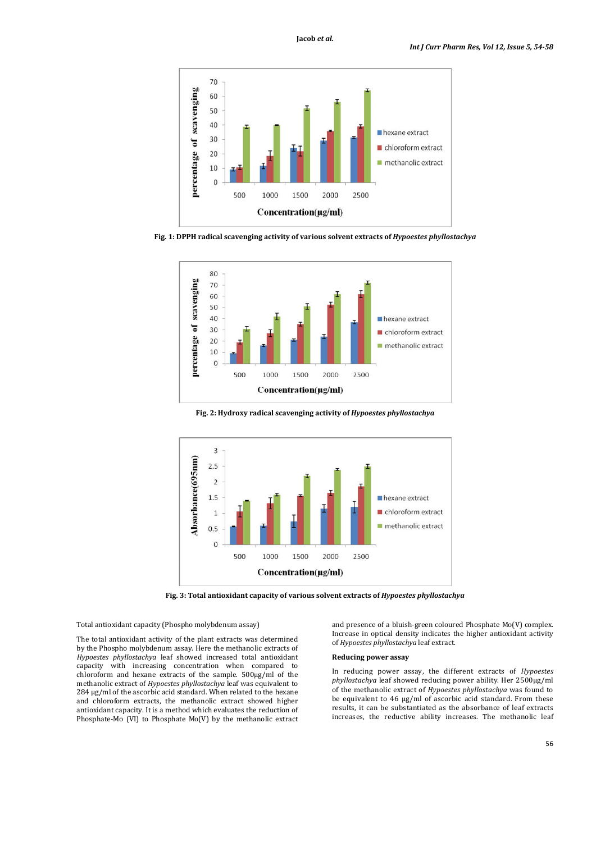

**Fig. 1: DPPH radical scavenging activity of various solvent extracts of** *Hypoestes phyllostachya*



**Fig. 2: Hydroxy radical scavenging activity of** *Hypoestes phyllostachya*



**Fig. 3: Total antioxidant capacity of various solvent extracts of** *Hypoestes phyllostachya*

Total antioxidant capacity (Phospho molybdenum assay)

The total antioxidant activity of the plant extracts was determined by the Phospho molybdenum assay. Here the methanolic extracts of *Hypoestes phyllostachya* leaf showed increased total antioxidant capacity with increasing concentration when compared to chloroform and hexane extracts of the sample. 500μg/ml of the methanolic extract of *Hypoestes phyllostachya* leaf was equivalent to 284 μg/ml of the ascorbic acid standard. When related to the hexane and chloroform extracts, the methanolic extract showed higher antioxidant capacity. It is a method which evaluates the reduction of Phosphate-Mo (VI) to Phosphate Mo(V) by the methanolic extract

and presence of a bluish-green coloured Phosphate Mo(V) complex. Increase in optical density indicates the higher antioxidant activity of *Hypoestes phyllostachya* leaf extract.

#### **Reducing power assay**

In reducing power assay, the different extracts of *Hypoestes phyllostachya* leaf showed reducing power ability. Her 2500μg/ml of the methanolic extract of *Hypoestes phyllostachya* was found to be equivalent to 46 μg/ml of ascorbic acid standard. From these results, it can be substantiated as the absorbance of leaf extracts increases, the reductive ability increases. The methanolic leaf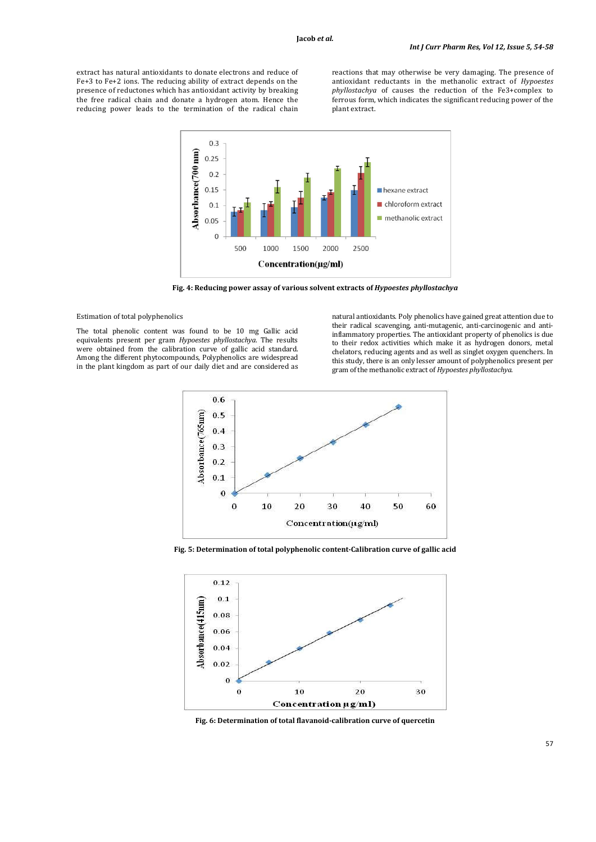extract has natural antioxidants to donate electrons and reduce of Fe+3 to Fe+2 ions. The reducing ability of extract depends on the presence of reductones which has antioxidant activity by breaking the free radical chain and donate a hydrogen atom. Hence the reducing power leads to the termination of the radical chain

reactions that may otherwise be very damaging. The presence of antioxidant reductants in the methanolic extract of *Hypoestes phyllostachya* of causes the reduction of the Fe3+complex to ferrous form, which indicates the significant reducing power of the plant extract.



**Fig. 4: Reducing power assay of various solvent extracts of** *Hypoestes phyllostachya*

### Estimation of total polyphenolics

The total phenolic content was found to be 10 mg Gallic acid equivalents present per gram *Hypoestes phyllostachya*. The results were obtained from the calibration curve of gallic acid standard. Among the different phytocompounds, Polyphenolics are widespread in the plant kingdom as part of our daily diet and are considered as

natural antioxidants. Poly phenolics have gained great attention due to their radical scavenging, anti-mutagenic, anti-carcinogenic and antiinflammatory properties. The antioxidant property of phenolics is due to their redox activities which make it as hydrogen donors, metal chelators, reducing agents and as well as singlet oxygen quenchers. In this study, there is an only lesser amount of polyphenolics present per gram of the methanolic extract of *Hypoestes phyllostachya*.



**Fig. 5: Determination of total polyphenolic content-Calibration curve of gallic acid**



**Fig. 6: Determination of total flavanoid-calibration curve of quercetin**